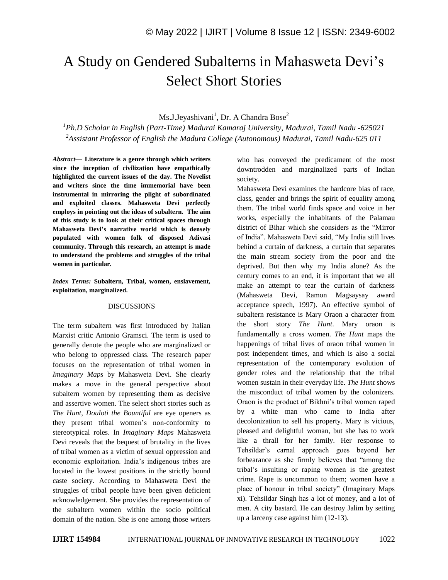## A Study on Gendered Subalterns in Mahasweta Devi's Select Short Stories

Ms.J.Jeyashivani<sup>1</sup>, Dr. A Chandra Bose<sup>2</sup>

*<sup>1</sup>Ph.D Scholar in English (Part-Time) Madurai Kamaraj University, Madurai, Tamil Nadu -625021 <sup>2</sup>Assistant Professor of English the Madura College (Autonomous) Madurai, Tamil Nadu-625 011*

*Abstract—* **Literature is a genre through which writers since the inception of civilization have empathically highlighted the current issues of the day. The Novelist and writers since the time immemorial have been instrumental in mirroring the plight of subordinated and exploited classes. Mahasweta Devi perfectly employs in pointing out the ideas of subaltern. The aim of this study is to look at their critical spaces through Mahasweta Devi's narrative world which is densely populated with women folk of disposed Adivasi community. Through this research, an attempt is made to understand the problems and struggles of the tribal women in particular.** 

*Index Terms:* **Subaltern, Tribal, women, enslavement, exploitation, marginalized.**

## DISCUSSIONS

The term subaltern was first introduced by Italian Marxist critic Antonio Gramsci. The term is used to generally denote the people who are marginalized or who belong to oppressed class. The research paper focuses on the representation of tribal women in *Imaginary Maps* by Mahasweta Devi. She clearly makes a move in the general perspective about subaltern women by representing them as decisive and assertive women. The select short stories such as *The Hunt*, *Douloti the Bountiful* are eye openers as they present tribal women's non-conformity to stereotypical roles. In *Imaginary Maps* Mahasweta Devi reveals that the bequest of brutality in the lives of tribal women as a victim of sexual oppression and economic exploitation. India's indigenous tribes are located in the lowest positions in the strictly bound caste society. According to Mahasweta Devi the struggles of tribal people have been given deficient acknowledgement. She provides the representation of the subaltern women within the socio political domain of the nation. She is one among those writers who has conveyed the predicament of the most downtrodden and marginalized parts of Indian society.

Mahasweta Devi examines the hardcore bias of race, class, gender and brings the spirit of equality among them. The tribal world finds space and voice in her works, especially the inhabitants of the Palamau district of Bihar which she considers as the "Mirror of India". Mahasweta Devi said, "My India still lives behind a curtain of darkness, a curtain that separates the main stream society from the poor and the deprived. But then why my India alone? As the century comes to an end, it is important that we all make an attempt to tear the curtain of darkness (Mahasweta Devi, Ramon Magsaysay award acceptance speech, 1997). An effective symbol of subaltern resistance is Mary Oraon a character from the short story *The Hunt*. Mary oraon is fundamentally a cross women. *The Hunt* maps the happenings of tribal lives of oraon tribal women in post independent times, and which is also a social representation of the contemporary evolution of gender roles and the relationship that the tribal women sustain in their everyday life. *The Hunt* shows the misconduct of tribal women by the colonizers. Oraon is the product of Bikhni's tribal women raped by a white man who came to India after decolonization to sell his property. Mary is vicious, pleased and delightful woman, but she has to work like a thrall for her family. Her response to Tehsildar's carnal approach goes beyond her forbearance as she firmly believes that "among the tribal's insulting or raping women is the greatest crime. Rape is uncommon to them; women have a place of honour in tribal society" (Imaginary Maps xi). Tehsildar Singh has a lot of money, and a lot of men. A city bastard. He can destroy Jalim by setting up a larceny case against him (12-13).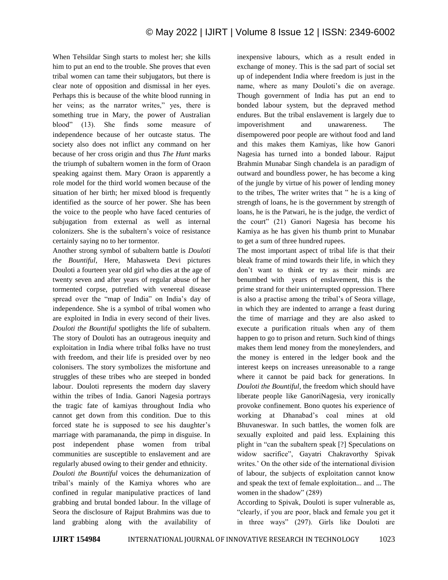When Tehsildar Singh starts to molest her; she kills him to put an end to the trouble. She proves that even tribal women can tame their subjugators, but there is clear note of opposition and dismissal in her eyes. Perhaps this is because of the white blood running in her veins; as the narrator writes," yes, there is something true in Mary, the power of Australian blood" (13). She finds some measure of independence because of her outcaste status. The society also does not inflict any command on her because of her cross origin and thus *The Hunt* marks the triumph of subaltern women in the form of Oraon speaking against them. Mary Oraon is apparently a role model for the third world women because of the situation of her birth; her mixed blood is frequently identified as the source of her power. She has been the voice to the people who have faced centuries of subjugation from external as well as internal colonizers. She is the subaltern's voice of resistance certainly saying no to her tormentor.

Another strong symbol of subaltern battle is *Douloti the Bountiful*, Here, Mahasweta Devi pictures Douloti a fourteen year old girl who dies at the age of twenty seven and after years of regular abuse of her tormented corpse, putrefied with venereal disease spread over the "map of India" on India's day of independence. She is a symbol of tribal women who are exploited in India in every second of their lives. *Douloti the Bountiful* spotlights the life of subaltern. The story of Douloti has an outrageous inequity and exploitation in India where tribal folks have no trust with freedom, and their life is presided over by neo colonisers. The story symbolizes the misfortune and struggles of these tribes who are steeped in bonded labour. Douloti represents the modern day slavery within the tribes of India. Ganori Nagesia portrays the tragic fate of kamiyas throughout India who cannot get down from this condition. Due to this forced state he is supposed to see his daughter's marriage with paramananda, the pimp in disguise. In post independent phase women from tribal communities are susceptible to enslavement and are regularly abused owing to their gender and ethnicity.

*Douloti the Bountiful* voices the dehumanization of tribal's mainly of the Kamiya whores who are confined in regular manipulative practices of land grabbing and brutal bonded labour. In the village of Seora the disclosure of Rajput Brahmins was due to land grabbing along with the availability of inexpensive labours, which as a result ended in exchange of money. This is the sad part of social set up of independent India where freedom is just in the name, where as many Douloti's die on average. Though government of India has put an end to bonded labour system, but the depraved method endures. But the tribal enslavement is largely due to impoverishment and unawareness. The disempowered poor people are without food and land and this makes them Kamiyas, like how Ganori Nagesia has turned into a bonded labour. Rajput Brahmin Munabar Singh chandela is an paradigm of outward and boundless power, he has become a king of the jungle by virtue of his power of lending money to the tribes, The writer writes that " he is a king of strength of loans, he is the government by strength of loans, he is the Patwari, he is the judge, the verdict of the court" (21) Ganori Nagesia has become his Kamiya as he has given his thumb print to Munabar to get a sum of three hundred rupees.

The most important aspect of tribal life is that their bleak frame of mind towards their life, in which they don't want to think or try as their minds are benumbed with years of enslavement, this is the prime strand for their uninterrupted oppression. There is also a practise among the tribal's of Seora village, in which they are indented to arrange a feast during the time of marriage and they are also asked to execute a purification rituals when any of them happen to go to prison and return. Such kind of things makes them lend money from the moneylenders, and the money is entered in the ledger book and the interest keeps on increases unreasonable to a range where it cannot be paid back for generations. In *Douloti the Bountiful*, the freedom which should have liberate people like GanoriNagesia, very ironically provoke confinement. Bono quotes his experience of working at Dhanabad's coal mines at old Bhuvaneswar. In such battles, the women folk are sexually exploited and paid less. Explaining this plight in "can the subaltern speak [?] Speculations on widow sacrifice", Gayatri Chakravorthy Spivak writes.' On the other side of the international division of labour, the subjects of exploitation cannot know and speak the text of female exploitation... and ... The women in the shadow" (289)

According to Spivak, Douloti is super vulnerable as, "clearly, if you are poor, black and female you get it in three ways" (297). Girls like Douloti are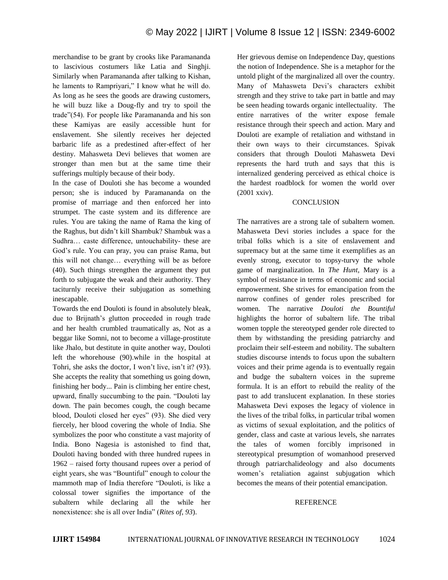merchandise to be grant by crooks like Paramananda to lascivious costumers like Latia and Singhji. Similarly when Paramananda after talking to Kishan, he laments to Rampriyari," I know what he will do. As long as he sees the goods are drawing customers, he will buzz like a Doug-fly and try to spoil the trade"(54). For people like Paramananda and his son these Kamiyas are easily accessible hunt for enslavement. She silently receives her dejected barbaric life as a predestined after-effect of her destiny. Mahasweta Devi believes that women are stronger than men but at the same time their sufferings multiply because of their body.

In the case of Douloti she has become a wounded person; she is induced by Paramananda on the promise of marriage and then enforced her into strumpet. The caste system and its difference are rules. You are taking the name of Rama the king of the Raghus, but didn't kill Shambuk? Shambuk was a Sudhra… caste difference, untouchability- these are God's rule. You can pray, you can praise Rama, but this will not change… everything will be as before (40). Such things strengthen the argument they put forth to subjugate the weak and their authority. They taciturnly receive their subjugation as something inescapable.

Towards the end Douloti is found in absolutely bleak, due to Brijnath's glutton proceeded in rough trade and her health crumbled traumatically as, Not as a beggar like Somni, not to become a village-prostitute like Jhalo, but destitute in quite another way, Douloti left the whorehouse (90).while in the hospital at Tohri, she asks the doctor, I won't live, isn't it? (93). She accepts the reality that something us going down, finishing her body... Pain is climbing her entire chest, upward, finally succumbing to the pain. "Douloti lay down. The pain becomes cough, the cough became blood, Douloti closed her eyes" (93). She died very fiercely, her blood covering the whole of India. She symbolizes the poor who constitute a vast majority of India. Bono Nagesia is astonished to find that, Douloti having bonded with three hundred rupees in 1962 – raised forty thousand rupees over a period of eight years, she was "Bountiful" enough to colour the mammoth map of India therefore "Douloti, is like a colossal tower signifies the importance of the subaltern while declaring all the while her nonexistence: she is all over India" (*Rites of, 93*).

Her grievous demise on Independence Day, questions the notion of Independence. She is a metaphor for the untold plight of the marginalized all over the country. Many of Mahasweta Devi's characters exhibit strength and they strive to take part in battle and may be seen heading towards organic intellectuality. The entire narratives of the writer expose female resistance through their speech and action. Mary and Douloti are example of retaliation and withstand in their own ways to their circumstances. Spivak considers that through Douloti Mahasweta Devi represents the hard truth and says that this is internalized gendering perceived as ethical choice is the hardest roadblock for women the world over (2001 xxiv).

## **CONCLUSION**

The narratives are a strong tale of subaltern women. Mahasweta Devi stories includes a space for the tribal folks which is a site of enslavement and supremacy but at the same time it exemplifies as an evenly strong, executor to topsy-turvy the whole game of marginalization. In *The Hunt,* Mary is a symbol of resistance in terms of economic and social empowerment. She strives for emancipation from the narrow confines of gender roles prescribed for women. The narrative *Douloti the Bountiful* highlights the horror of subaltern life. The tribal women topple the stereotyped gender role directed to them by withstanding the presiding patriarchy and proclaim their self-esteem and nobility. The subaltern studies discourse intends to focus upon the subaltern voices and their prime agenda is to eventually regain and budge the subaltern voices in the supreme formula. It is an effort to rebuild the reality of the past to add translucent explanation. In these stories Mahasweta Devi exposes the legacy of violence in the lives of the tribal folks, in particular tribal women as victims of sexual exploitation, and the politics of gender, class and caste at various levels, she narrates the tales of women forcibly imprisoned in stereotypical presumption of womanhood preserved through patriarchalideology and also documents women's retaliation against subjugation which becomes the means of their potential emancipation.

## **REFERENCE**